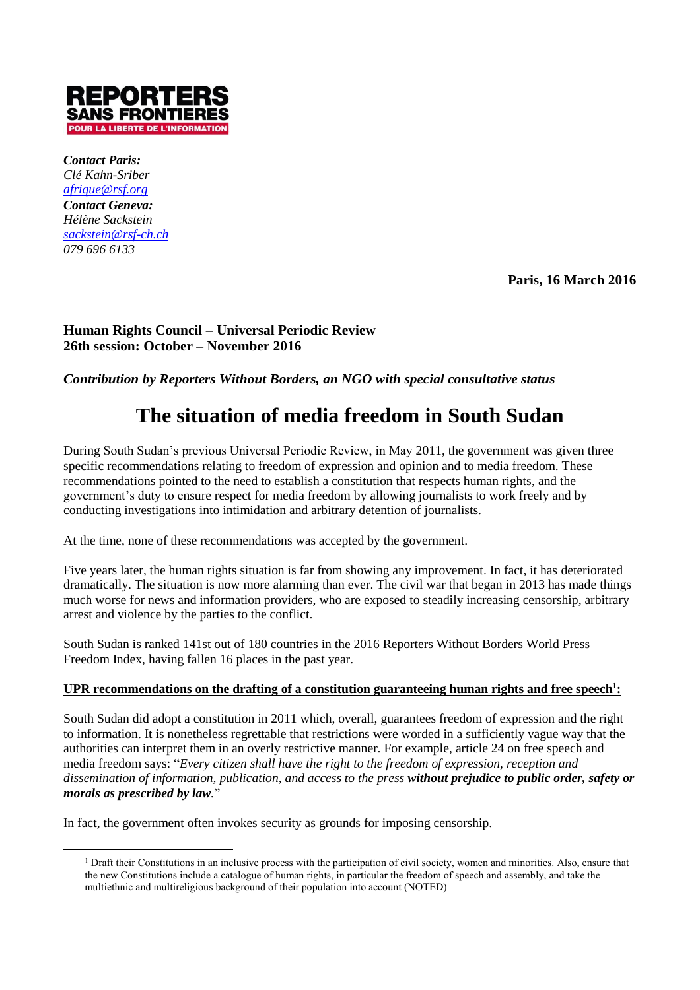

*Contact Paris: Clé Kahn-Sriber [afrique@rsf.org](mailto:afrique@rsf.org) Contact Geneva: Hélène Sackstein [sackstein@rsf-ch.ch](mailto:sackstein@rsf-ch.ch) 079 696 6133*

 $\overline{a}$ 

**Paris, 16 March 2016**

# **Human Rights Council – Universal Periodic Review 26th session: October – November 2016**

*Contribution by Reporters Without Borders, an NGO with special consultative status* 

# **The situation of media freedom in South Sudan**

During South Sudan's previous Universal Periodic Review, in May 2011, the government was given three specific recommendations relating to freedom of expression and opinion and to media freedom. These recommendations pointed to the need to establish a constitution that respects human rights, and the government's duty to ensure respect for media freedom by allowing journalists to work freely and by conducting investigations into intimidation and arbitrary detention of journalists.

At the time, none of these recommendations was accepted by the government.

Five years later, the human rights situation is far from showing any improvement. In fact, it has deteriorated dramatically. The situation is now more alarming than ever. The civil war that began in 2013 has made things much worse for news and information providers, who are exposed to steadily increasing censorship, arbitrary arrest and violence by the parties to the conflict.

South Sudan is ranked 141st out of 180 countries in the 2016 Reporters Without Borders World Press Freedom Index, having fallen 16 places in the past year.

# **UPR recommendations on the drafting of a constitution guaranteeing human rights and free speech<sup>1</sup> :**

South Sudan did adopt a constitution in 2011 which, overall, guarantees freedom of expression and the right to information. It is nonetheless regrettable that restrictions were worded in a sufficiently vague way that the authorities can interpret them in an overly restrictive manner. For example, article 24 on free speech and media freedom says: "*Every citizen shall have the right to the freedom of expression, reception and dissemination of information, publication, and access to the press without prejudice to public order, safety or morals as prescribed by law.*"

In fact, the government often invokes security as grounds for imposing censorship.

<sup>&</sup>lt;sup>1</sup> Draft their Constitutions in an inclusive process with the participation of civil society, women and minorities. Also, ensure that the new Constitutions include a catalogue of human rights, in particular the freedom of speech and assembly, and take the multiethnic and multireligious background of their population into account (NOTED)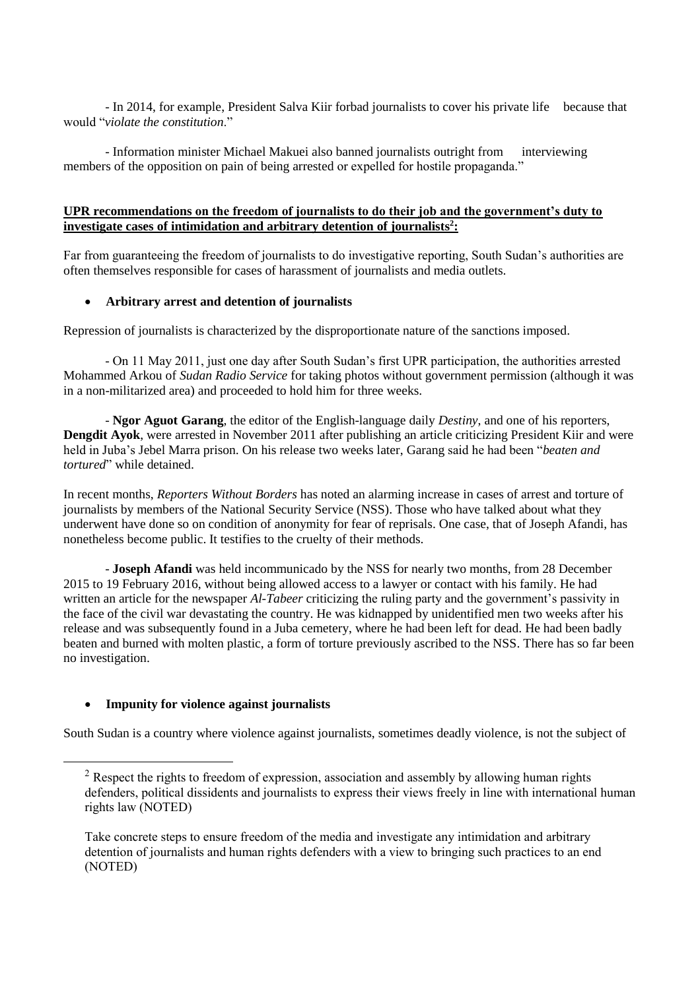- In 2014, for example, President Salva Kiir forbad journalists to cover his private life because that would "*violate the constitution*."

- Information minister Michael Makuei also banned journalists outright from interviewing members of the opposition on pain of being arrested or expelled for hostile propaganda."

### **UPR recommendations on the freedom of journalists to do their job and the government's duty to investigate cases of intimidation and arbitrary detention of journalists<sup>2</sup> :**

Far from guaranteeing the freedom of journalists to do investigative reporting, South Sudan's authorities are often themselves responsible for cases of harassment of journalists and media outlets.

## **Arbitrary arrest and detention of journalists**

Repression of journalists is characterized by the disproportionate nature of the sanctions imposed.

- On 11 May 2011, just one day after South Sudan's first UPR participation, the authorities arrested Mohammed Arkou of *Sudan Radio Service* for taking photos without government permission (although it was in a non-militarized area) and proceeded to hold him for three weeks.

- **Ngor Aguot Garang**, the editor of the English-language daily *Destiny*, and one of his reporters, **Dengdit Ayok**, were arrested in November 2011 after publishing an article criticizing President Kiir and were held in Juba's Jebel Marra prison. On his release two weeks later, Garang said he had been "*beaten and tortured*" while detained.

In recent months, *Reporters Without Borders* has noted an alarming increase in cases of arrest and torture of journalists by members of the National Security Service (NSS). Those who have talked about what they underwent have done so on condition of anonymity for fear of reprisals. One case, that of Joseph Afandi, has nonetheless become public. It testifies to the cruelty of their methods.

- **Joseph Afandi** was held incommunicado by the NSS for nearly two months, from 28 December 2015 to 19 February 2016, without being allowed access to a lawyer or contact with his family. He had written an article for the newspaper *Al-Tabeer* criticizing the ruling party and the government's passivity in the face of the civil war devastating the country. He was kidnapped by unidentified men two weeks after his release and was subsequently found in a Juba cemetery, where he had been left for dead. He had been badly beaten and burned with molten plastic, a form of torture previously ascribed to the NSS. There has so far been no investigation.

# **Impunity for violence against journalists**

 $\overline{a}$ 

South Sudan is a country where violence against journalists, sometimes deadly violence, is not the subject of

 $2$  Respect the rights to freedom of expression, association and assembly by allowing human rights defenders, political dissidents and journalists to express their views freely in line with international human rights law (NOTED)

Take concrete steps to ensure freedom of the media and investigate any intimidation and arbitrary detention of journalists and human rights defenders with a view to bringing such practices to an end (NOTED)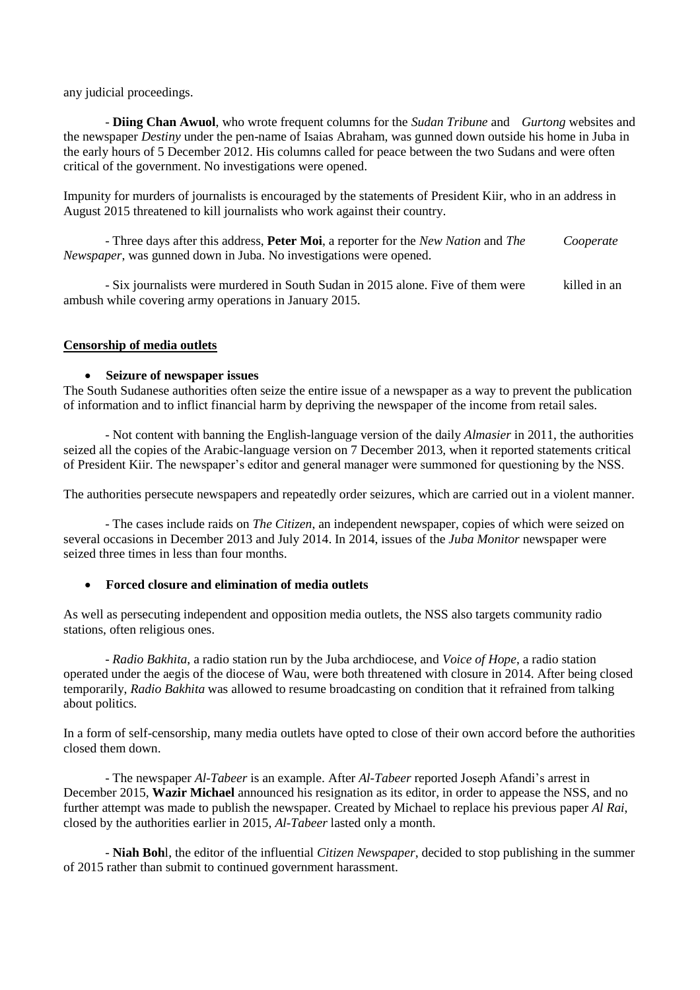any judicial proceedings.

- **Diing Chan Awuol**, who wrote frequent columns for the *Sudan Tribune* and *Gurtong* websites and the newspaper *Destiny* under the pen-name of Isaias Abraham, was gunned down outside his home in Juba in the early hours of 5 December 2012. His columns called for peace between the two Sudans and were often critical of the government. No investigations were opened.

Impunity for murders of journalists is encouraged by the statements of President Kiir, who in an address in August 2015 threatened to kill journalists who work against their country.

- Three days after this address, **Peter Moi**, a reporter for the *New Nation* and *The Cooperate Newspaper*, was gunned down in Juba. No investigations were opened.

- Six journalists were murdered in South Sudan in 2015 alone. Five of them were killed in an ambush while covering army operations in January 2015.

#### **Censorship of media outlets**

#### **Seizure of newspaper issues**

The South Sudanese authorities often seize the entire issue of a newspaper as a way to prevent the publication of information and to inflict financial harm by depriving the newspaper of the income from retail sales.

- Not content with banning the English-language version of the daily *Almasier* in 2011, the authorities seized all the copies of the Arabic-language version on 7 December 2013, when it reported statements critical of President Kiir. The newspaper's editor and general manager were summoned for questioning by the NSS.

The authorities persecute newspapers and repeatedly order seizures, which are carried out in a violent manner.

- The cases include raids on *The Citizen*, an independent newspaper, copies of which were seized on several occasions in December 2013 and July 2014. In 2014, issues of the *Juba Monitor* newspaper were seized three times in less than four months.

#### **Forced closure and elimination of media outlets**

As well as persecuting independent and opposition media outlets, the NSS also targets community radio stations, often religious ones.

- *Radio Bakhita*, a radio station run by the Juba archdiocese, and *Voice of Hope*, a radio station operated under the aegis of the diocese of Wau, were both threatened with closure in 2014. After being closed temporarily, *Radio Bakhita* was allowed to resume broadcasting on condition that it refrained from talking about politics.

In a form of self-censorship, many media outlets have opted to close of their own accord before the authorities closed them down.

- The newspaper *Al-Tabeer* is an example. After *Al-Tabeer* reported Joseph Afandi's arrest in December 2015, **Wazir Michael** announced his resignation as its editor, in order to appease the NSS, and no further attempt was made to publish the newspaper. Created by Michael to replace his previous paper *Al Rai*, closed by the authorities earlier in 2015, *Al-Tabeer* lasted only a month.

- **Niah Boh**l, the editor of the influential *Citizen Newspaper*, decided to stop publishing in the summer of 2015 rather than submit to continued government harassment.